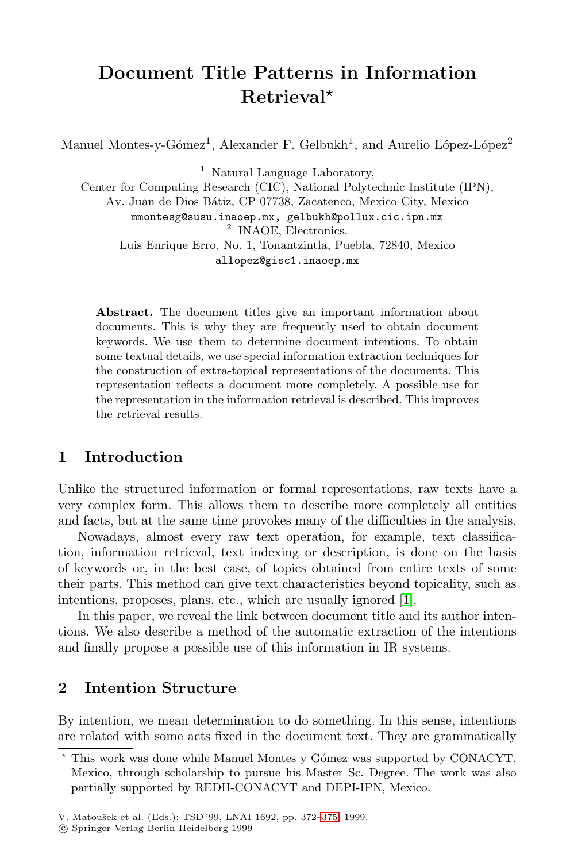# **Document Title Patterns in Information Retrieval***?*

Manuel Montes-y-Gómez<sup>1</sup>, Alexander F. Gelbukh<sup>1</sup>, and Aurelio López-López<sup>2</sup>

<sup>1</sup> Natural Language Laboratory,

Center for Computing Research (CIC), National Polytechnic Institute (IPN), Av. Juan de Dios B´atiz, CP 07738, Zacatenco, Mexico City, Mexico mmontesg@susu.inaoep.mx, gelbukh@pollux.cic.ipn.mx <sup>2</sup> INAOE, Electronics. Luis Enrique Erro, No. 1, Tonantzintla, Puebla, 72840, Mexico allopez@gisc1.inaoep.mx

**Abstract.** The document titles give an important information about documents. This is why they are frequently used to obtain document keywords. We use them to determine document intentions. To obtain some textual details, we use special information extraction techniques for the construction of extra-topical representations of the documents. This representation reflects a document more completely. A possible use for the representation in the information retrieval is described. This improves the retrieval results.

## **1 Introduction**

Unlike the structured information or formal representations, raw texts have a very complex form. This allows them to describe more completely all entities and facts, but at the same time provokes many of the difficulties in the analysis.

Nowadays, almost every raw text operation, for example, text classification, information retrieval, text indexing or description, is done on the basis of keywords or, in the best case, of topics obtained from entire texts of some their parts. This method can give text characteristics beyond topicality, such as intentions, proposes, plans, etc., which are usually ignored [\[1\]](#page-3-0).

In this paper, we reveal the link between document title and its author intentions. We also describe a method of the automatic extraction of the intentions and finally propose a possible use of this information in IR systems.

## **2 Intention Structure**

By intention, we mean determination to do something. In this sense, intentions are related with some acts fixed in the document text. They are grammatically

<sup>?</sup> This work was done while Manuel Montes y G´omez was supported by CONACYT, Mexico, through scholarship to pursue his Master Sc. Degree. The work was also partially supported by REDII-CONACYT and DEPI-IPN, Mexico.

V. Matoušek et al. (Eds.): TSD '99, LNAI 1692, pp. 372-375, 1999.

c Springer-Verlag Berlin Heidelberg 1999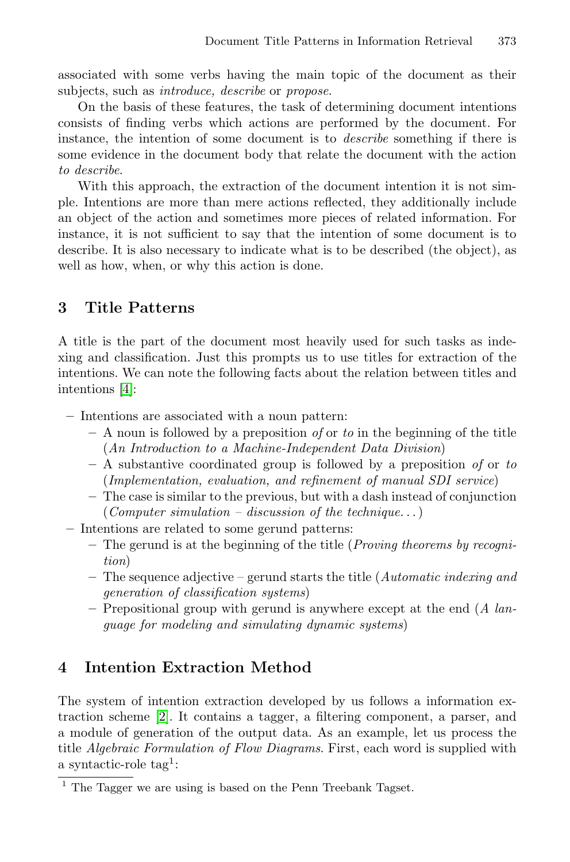associated with some verbs having the main topic of the document as their subjects, such as introduce, describe or propose.

On the basis of these features, the task of determining document intentions consists of finding verbs which actions are performed by the document. For instance, the intention of some document is to describe something if there is some evidence in the document body that relate the document with the action to describe.

With this approach, the extraction of the document intention it is not simple. Intentions are more than mere actions reflected, they additionally include an object of the action and sometimes more pieces of related information. For instance, it is not sufficient to say that the intention of some document is to describe. It is also necessary to indicate what is to be described (the object), as well as how, when, or why this action is done.

# **3 Title Patterns**

A title is the part of the document most heavily used for such tasks as indexing and classification. Just this prompts us to use titles for extraction of the intentions. We can note the following facts about the relation between titles and intentions [\[4\]](#page-3-0):

- **–** Intentions are associated with a noun pattern:
	- **–** A noun is followed by a preposition of or to in the beginning of the title (An Introduction to a Machine-Independent Data Division)
	- **–** A substantive coordinated group is followed by a preposition of or to (Implementation, evaluation, and refinement of manual SDI service)
	- **–** The case is similar to the previous, but with a dash instead of conjunction  $(Computer simulation - discussion of the technique...)$
- **–** Intentions are related to some gerund patterns:
	- **–** The gerund is at the beginning of the title (Proving theorems by recognition)
	- **–** The sequence adjective gerund starts the title (Automatic indexing and generation of classification systems)
	- **–** Prepositional group with gerund is anywhere except at the end (A language for modeling and simulating dynamic systems)

# **4 Intention Extraction Method**

The system of intention extraction developed by us follows a information extraction scheme [\[2\]](#page-3-0). It contains a tagger, a filtering component, a parser, and a module of generation of the output data. As an example, let us process the title Algebraic Formulation of Flow Diagrams. First, each word is supplied with a syntactic-role tag<sup>1</sup>:

 $1$  The Tagger we are using is based on the Penn Treebank Tagset.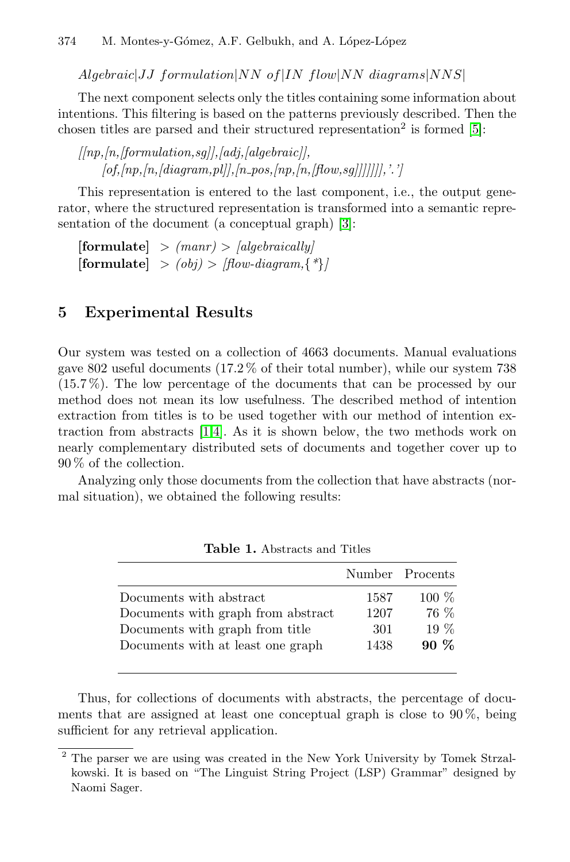$Algebraic|JJ$  formulation $|NN$  of  $|IN$  flow $|NN$  diagrams $|NNS|$ 

The next component selects only the titles containing some information about intentions. This filtering is based on the patterns previously described. Then the chosen titles are parsed and their structured representation<sup>2</sup> is formed  $[5]$ :

 $[lnp, ln, [formulation, sal], [adi, [algebraic]],$  $[of, [np, [n, [diagram, pl]], [n\_pos, [np, [n, [flow, sg]]]]]]],'.']$ 

This representation is entered to the last component, i.e., the output generator, where the structured representation is transformed into a semantic representation of the document (a conceptual graph) [\[3\]](#page-3-0):

 $[formulate] > (manr) > [algebraically]$  $[\textbf{formulate}] > (obj) > [flow-diagram, \{ * \}]$ 

## **5 Experimental Results**

Our system was tested on a collection of 4663 documents. Manual evaluations gave 802 useful documents (17.2 % of their total number), while our system 738 (15.7 %). The low percentage of the documents that can be processed by our method does not mean its low usefulness. The described method of intention extraction from titles is to be used together with our method of intention extraction from abstracts [\[1,4\]](#page-3-0). As it is shown below, the two methods work on nearly complementary distributed sets of documents and together cover up to 90 % of the collection.

Analyzing only those documents from the collection that have abstracts (normal situation), we obtained the following results:

|                                    |      | Number Procents |
|------------------------------------|------|-----------------|
| Documents with abstract            | 1587 | $100\%$         |
| Documents with graph from abstract | 1207 | 76 %            |
| Documents with graph from title    | -301 | $19\%$          |
| Documents with at least one graph  | 1438 | $90\%$          |
|                                    |      |                 |

**Table 1.** Abstracts and Titles

Thus, for collections of documents with abstracts, the percentage of documents that are assigned at least one conceptual graph is close to 90 %, being sufficient for any retrieval application.

<sup>2</sup> The parser we are using was created in the New York University by Tomek Strzalkowski. It is based on "The Linguist String Project (LSP) Grammar" designed by Naomi Sager.